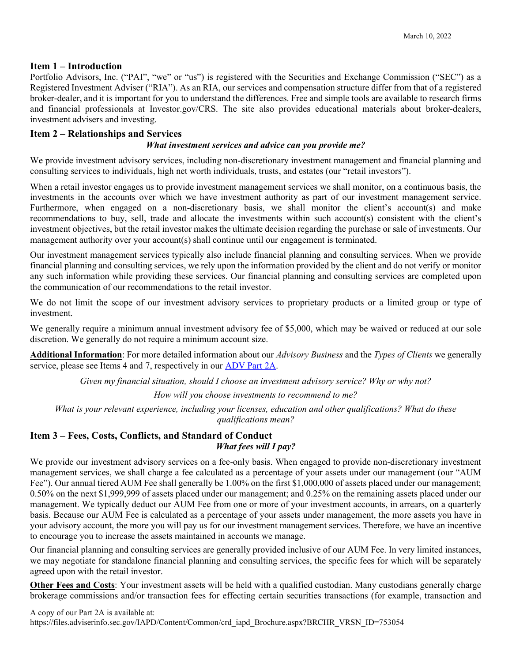## Item 1 – Introduction

Portfolio Advisors, Inc. ("PAI", "we" or "us") is registered with the Securities and Exchange Commission ("SEC") as a Registered Investment Adviser ("RIA"). As an RIA, our services and compensation structure differ from that of a registered broker-dealer, and it is important for you to understand the differences. Free and simple tools are available to research firms and financial professionals at Investor.gov/CRS. The site also provides educational materials about broker-dealers, investment advisers and investing.

### Item 2 – Relationships and Services

#### What investment services and advice can you provide me?

We provide investment advisory services, including non-discretionary investment management and financial planning and consulting services to individuals, high net worth individuals, trusts, and estates (our "retail investors").

When a retail investor engages us to provide investment management services we shall monitor, on a continuous basis, the investments in the accounts over which we have investment authority as part of our investment management service. Furthermore, when engaged on a non-discretionary basis, we shall monitor the client's account(s) and make recommendations to buy, sell, trade and allocate the investments within such account(s) consistent with the client's investment objectives, but the retail investor makes the ultimate decision regarding the purchase or sale of investments. Our management authority over your account(s) shall continue until our engagement is terminated.

Our investment management services typically also include financial planning and consulting services. When we provide financial planning and consulting services, we rely upon the information provided by the client and do not verify or monitor any such information while providing these services. Our financial planning and consulting services are completed upon the communication of our recommendations to the retail investor.

We do not limit the scope of our investment advisory services to proprietary products or a limited group or type of investment.

We generally require a minimum annual investment advisory fee of \$5,000, which may be waived or reduced at our sole discretion. We generally do not require a minimum account size.

Additional Information: For more detailed information about our *Advisory Business* and the Types of Clients we generally service, please see Items 4 and 7, respectively in our ADV Part 2A.

Given my financial situation, should I choose an investment advisory service? Why or why not?

How will you choose investments to recommend to me?

What is your relevant experience, including your licenses, education and other qualifications? What do these qualifications mean?

## Item 3 – Fees, Costs, Conflicts, and Standard of Conduct What fees will I pay?

We provide our investment advisory services on a fee-only basis. When engaged to provide non-discretionary investment management services, we shall charge a fee calculated as a percentage of your assets under our management (our "AUM Fee"). Our annual tiered AUM Fee shall generally be 1.00% on the first \$1,000,000 of assets placed under our management; 0.50% on the next \$1,999,999 of assets placed under our management; and 0.25% on the remaining assets placed under our management. We typically deduct our AUM Fee from one or more of your investment accounts, in arrears, on a quarterly basis. Because our AUM Fee is calculated as a percentage of your assets under management, the more assets you have in your advisory account, the more you will pay us for our investment management services. Therefore, we have an incentive to encourage you to increase the assets maintained in accounts we manage.

Our financial planning and consulting services are generally provided inclusive of our AUM Fee. In very limited instances, we may negotiate for standalone financial planning and consulting services, the specific fees for which will be separately agreed upon with the retail investor.

Other Fees and Costs: Your investment assets will be held with a qualified custodian. Many custodians generally charge brokerage commissions and/or transaction fees for effecting certain securities transactions (for example, transaction and

A copy of our Part 2A is available at: https://files.adviserinfo.sec.gov/IAPD/Content/Common/crd\_iapd\_Brochure.aspx?BRCHR\_VRSN\_ID=753054